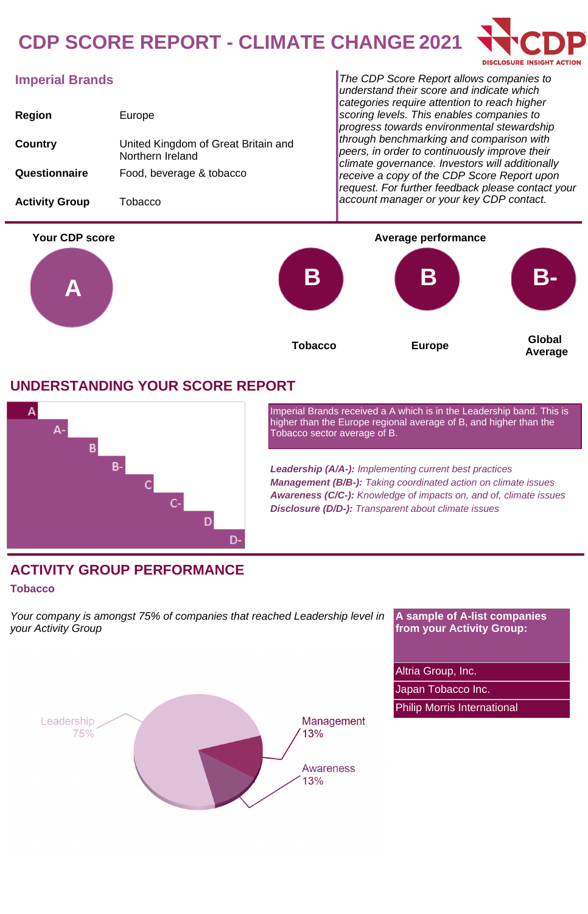# **CDP SCORE REPORT - CLIMATE CHANGE 2021**



## **Imperial Brands**

| <b>Region</b>         | Europe                                                  |
|-----------------------|---------------------------------------------------------|
| Country               | United Kingdom of Great Britain and<br>Northern Ireland |
| Questionnaire         | Food, beverage & tobacco                                |
| <b>Activity Group</b> | Tobacco                                                 |

The CDP Score Report allows companies to understand their score and indicate which categories require attention to reach higher scoring levels. This enables companies to progress towards environmental stewardship through benchmarking and comparison with peers, in order to continuously improve their climate governance. Investors will additionally receive a copy of the CDP Score Report upon request. For further feedback please contact your account manager or your key CDP contact.



### **UNDERSTANDING YOUR SCORE REPORT**



Imperial Brands received a A which is in the Leadership band. This is higher than the Europe regional average of B, and higher than the Tobacco sector average of B.

**Leadership (A/A-):** Implementing current best practices **Management (B/B-):** Taking coordinated action on climate issues **Awareness (C/C-):** Knowledge of impacts on, and of, climate issues **Disclosure (D/D-):** Transparent about climate issues

### **ACTIVITY GROUP PERFORMANCE**

#### **Tobacco**

Your company is amongst 75% of companies that reached Leadership level in your Activity Group

**A sample of A-list companies from your Activity Group:**

Altria Group, Inc.

Japan Tobacco Inc.

Philip Morris International